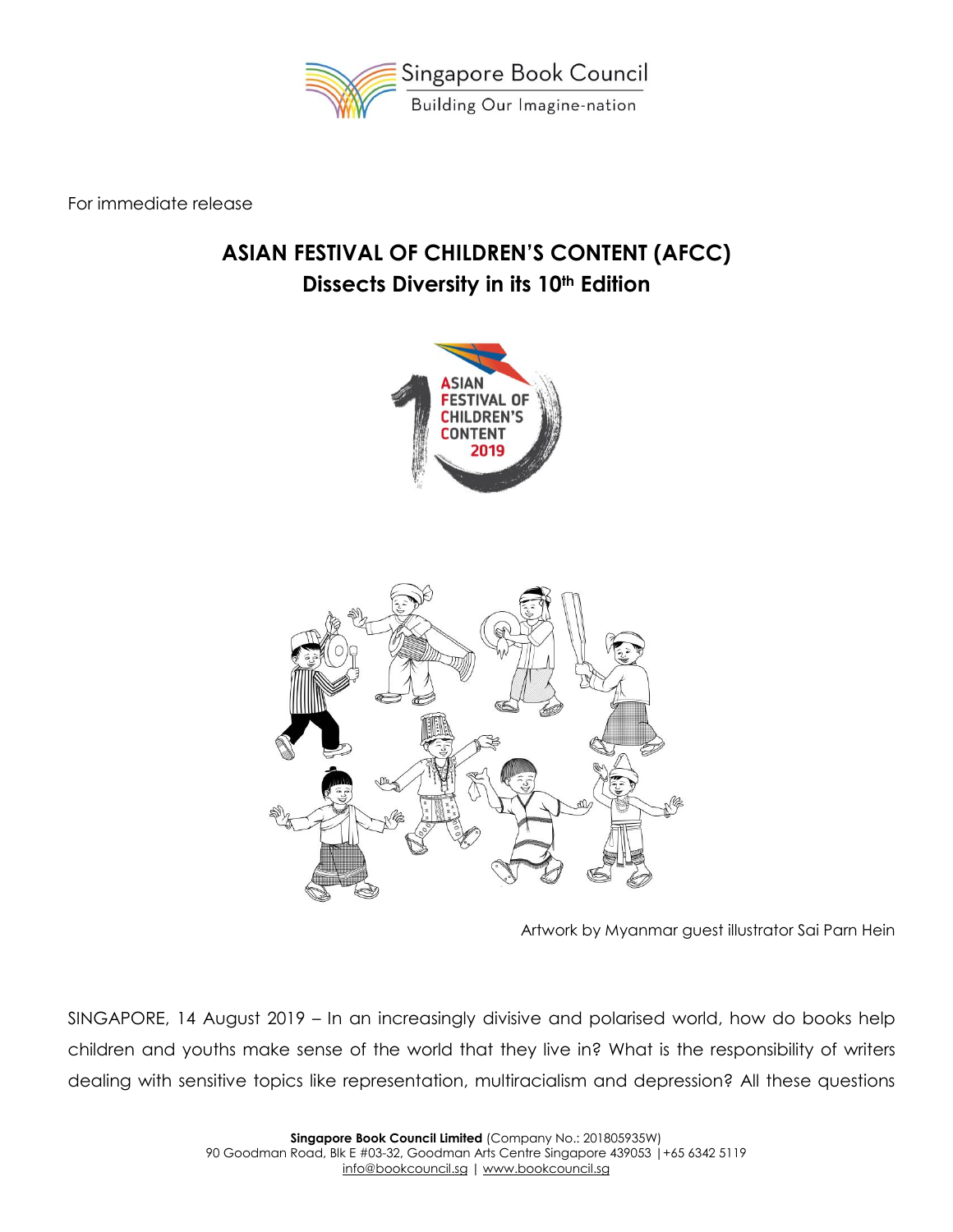

For immediate release

# **ASIAN FESTIVAL OF CHILDREN'S CONTENT (AFCC) Dissects Diversity in its 10th Edition**





Artwork by Myanmar guest illustrator Sai Parn Hein

SINGAPORE, 14 August 2019 – In an increasingly divisive and polarised world, how do books help children and youths make sense of the world that they live in? What is the responsibility of writers dealing with sensitive topics like representation, multiracialism and depression? All these questions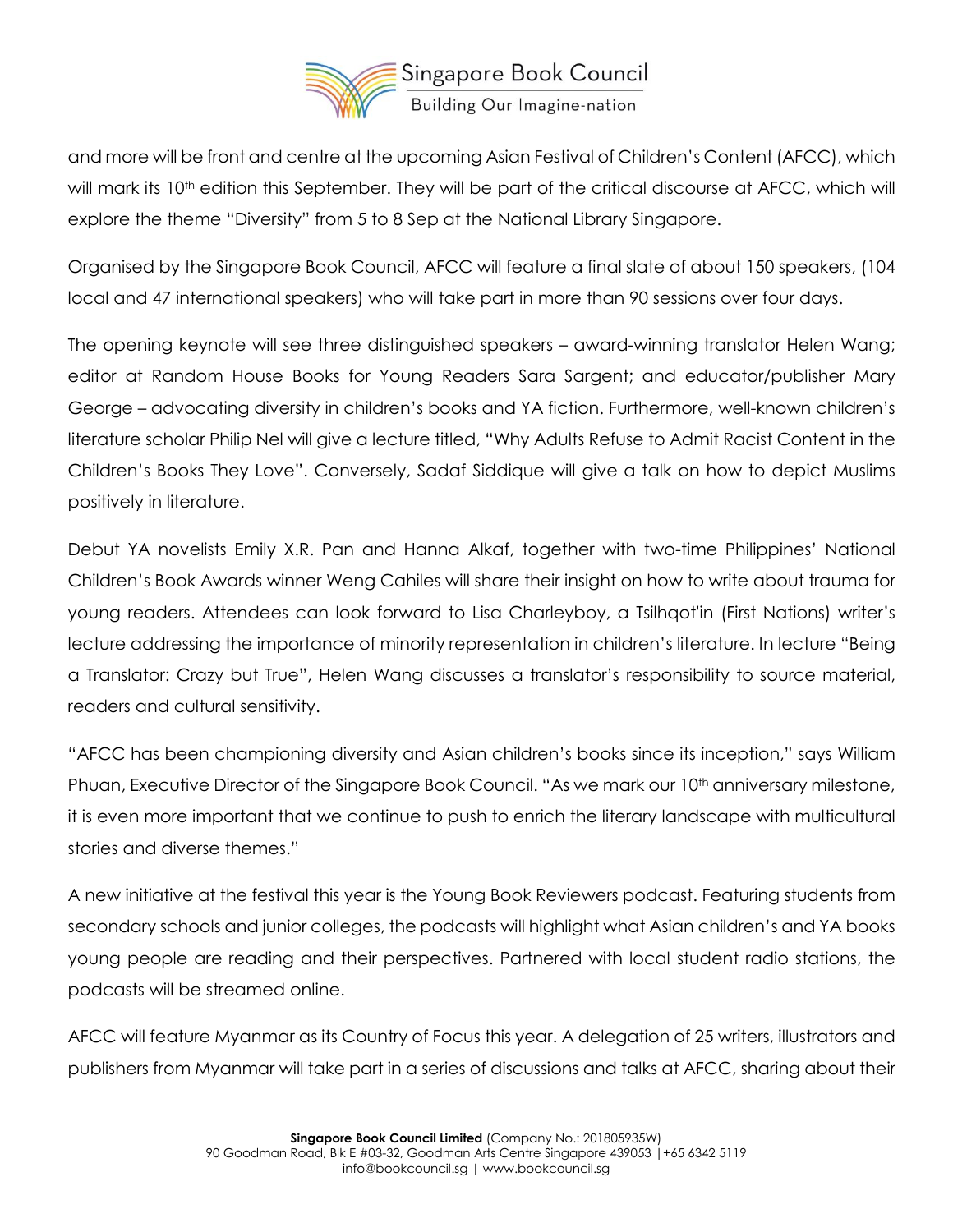

and more will be front and centre at the upcoming Asian Festival of Children's Content (AFCC), which will mark its 10<sup>th</sup> edition this September. They will be part of the critical discourse at AFCC, which will explore the theme "Diversity" from 5 to 8 Sep at the National Library Singapore.

Organised by the Singapore Book Council, AFCC will feature a final slate of about 150 speakers, (104 local and 47 international speakers) who will take part in more than 90 sessions over four days.

The opening keynote will see three distinguished speakers – award-winning translator Helen Wang; editor at Random House Books for Young Readers Sara Sargent; and educator/publisher Mary George – advocating diversity in children's books and YA fiction. Furthermore, well-known children's literature scholar Philip Nel will give a lecture titled, "Why Adults Refuse to Admit Racist Content in the Children's Books They Love". Conversely, Sadaf Siddique will give a talk on how to depict Muslims positively in literature.

Debut YA novelists Emily X.R. Pan and Hanna Alkaf, together with two-time Philippines' National Children's Book Awards winner Weng Cahiles will share their insight on how to write about trauma for young readers. Attendees can look forward to Lisa Charleyboy, a Tsilhqot'in (First Nations) writer's lecture addressing the importance of minority representation in children's literature. In lecture "Being a Translator: Crazy but True", Helen Wang discusses a translator's responsibility to source material, readers and cultural sensitivity.

"AFCC has been championing diversity and Asian children's books since its inception," says William Phuan, Executive Director of the Singapore Book Council. "As we mark our 10<sup>th</sup> anniversary milestone, it is even more important that we continue to push to enrich the literary landscape with multicultural stories and diverse themes."

A new initiative at the festival this year is the Young Book Reviewers podcast. Featuring students from secondary schools and junior colleges, the podcasts will highlight what Asian children's and YA books young people are reading and their perspectives. Partnered with local student radio stations, the podcasts will be streamed online.

AFCC will feature Myanmar as its Country of Focus this year. A delegation of 25 writers, illustrators and publishers from Myanmar will take part in a series of discussions and talks at AFCC, sharing about their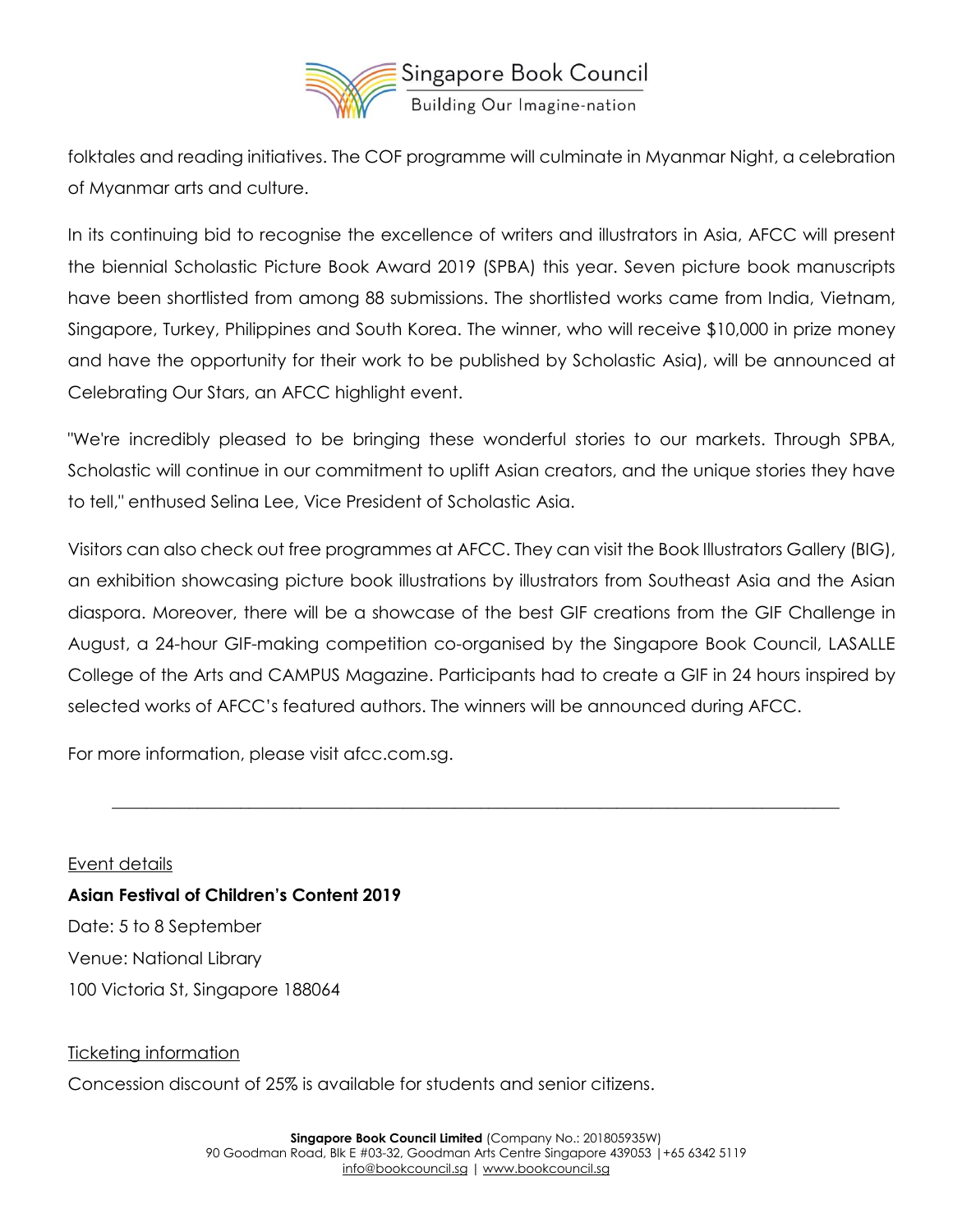

folktales and reading initiatives. The COF programme will culminate in Myanmar Night, a celebration of Myanmar arts and culture.

In its continuing bid to recognise the excellence of writers and illustrators in Asia, AFCC will present the biennial Scholastic Picture Book Award 2019 (SPBA) this year. Seven picture book manuscripts have been shortlisted from among 88 submissions. The shortlisted works came from India, Vietnam, Singapore, Turkey, Philippines and South Korea. The winner, who will receive \$10,000 in prize money and have the opportunity for their work to be published by Scholastic Asia), will be announced at Celebrating Our Stars, an AFCC highlight event.

"We're incredibly pleased to be bringing these wonderful stories to our markets. Through SPBA, Scholastic will continue in our commitment to uplift Asian creators, and the unique stories they have to tell," enthused Selina Lee, Vice President of Scholastic Asia.

Visitors can also check out free programmes at AFCC. They can visit the Book Illustrators Gallery (BIG), an exhibition showcasing picture book illustrations by illustrators from Southeast Asia and the Asian diaspora. Moreover, there will be a showcase of the best GIF creations from the GIF Challenge in August, a 24-hour GIF-making competition co-organised by the Singapore Book Council, LASALLE College of the Arts and CAMPUS Magazine. Participants had to create a GIF in 24 hours inspired by selected works of AFCC's featured authors. The winners will be announced during AFCC.

 $\_$  , and the set of the set of the set of the set of the set of the set of the set of the set of the set of the set of the set of the set of the set of the set of the set of the set of the set of the set of the set of th

For more information, please visit afcc.com.sg.

Event details **Asian Festival of Children's Content 2019** Date: 5 to 8 September Venue: National Library 100 Victoria St, Singapore 188064

#### Ticketing information

Concession discount of 25% is available for students and senior citizens.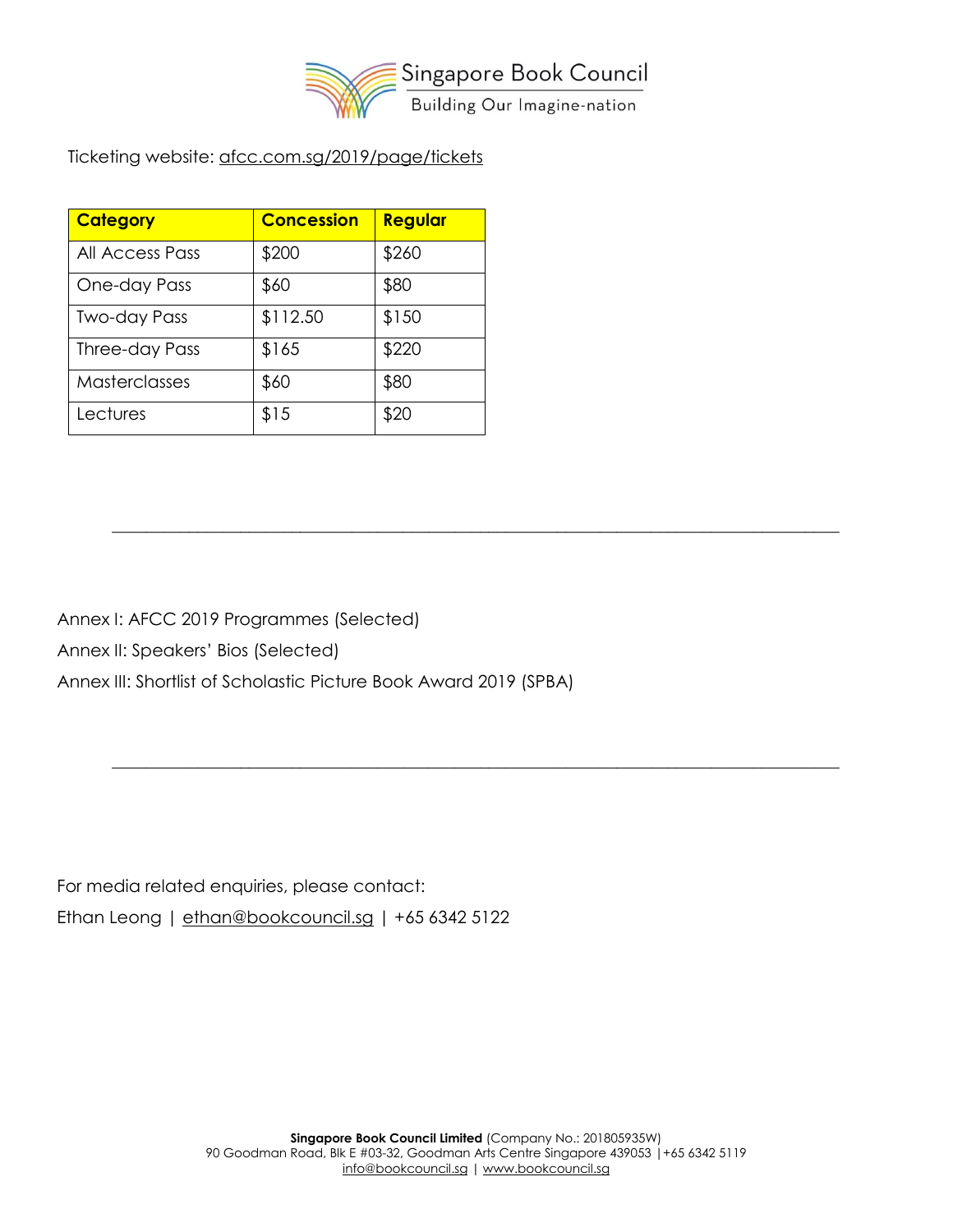

 $\_$  , and the set of the set of the set of the set of the set of the set of the set of the set of the set of the set of the set of the set of the set of the set of the set of the set of the set of the set of the set of th

 $\_$  , and the set of the set of the set of the set of the set of the set of the set of the set of the set of the set of the set of the set of the set of the set of the set of the set of the set of the set of the set of th

Ticketing website: [afcc.com.sg/2019/page/tickets](https://afcc.com.sg/2019/page/tickets)

| <b>Category</b>      | <b>Concession</b> | Regular |
|----------------------|-------------------|---------|
| All Access Pass      | \$200             | \$260   |
| One-day Pass         | \$60              | \$80    |
| <b>Two-day Pass</b>  | \$112.50          | \$150   |
| Three-day Pass       | \$165             | \$220   |
| <b>Masterclasses</b> | \$60              | \$80    |
| Lectures             | \$15              | \$20    |

Annex I: AFCC 2019 Programmes (Selected)

Annex II: Speakers' Bios (Selected)

Annex III: Shortlist of Scholastic Picture Book Award 2019 (SPBA)

For media related enquiries, please contact: Ethan Leong | [ethan@bookcouncil.sg](mailto:ethan@bookcouncil.sg) | +65 6342 5122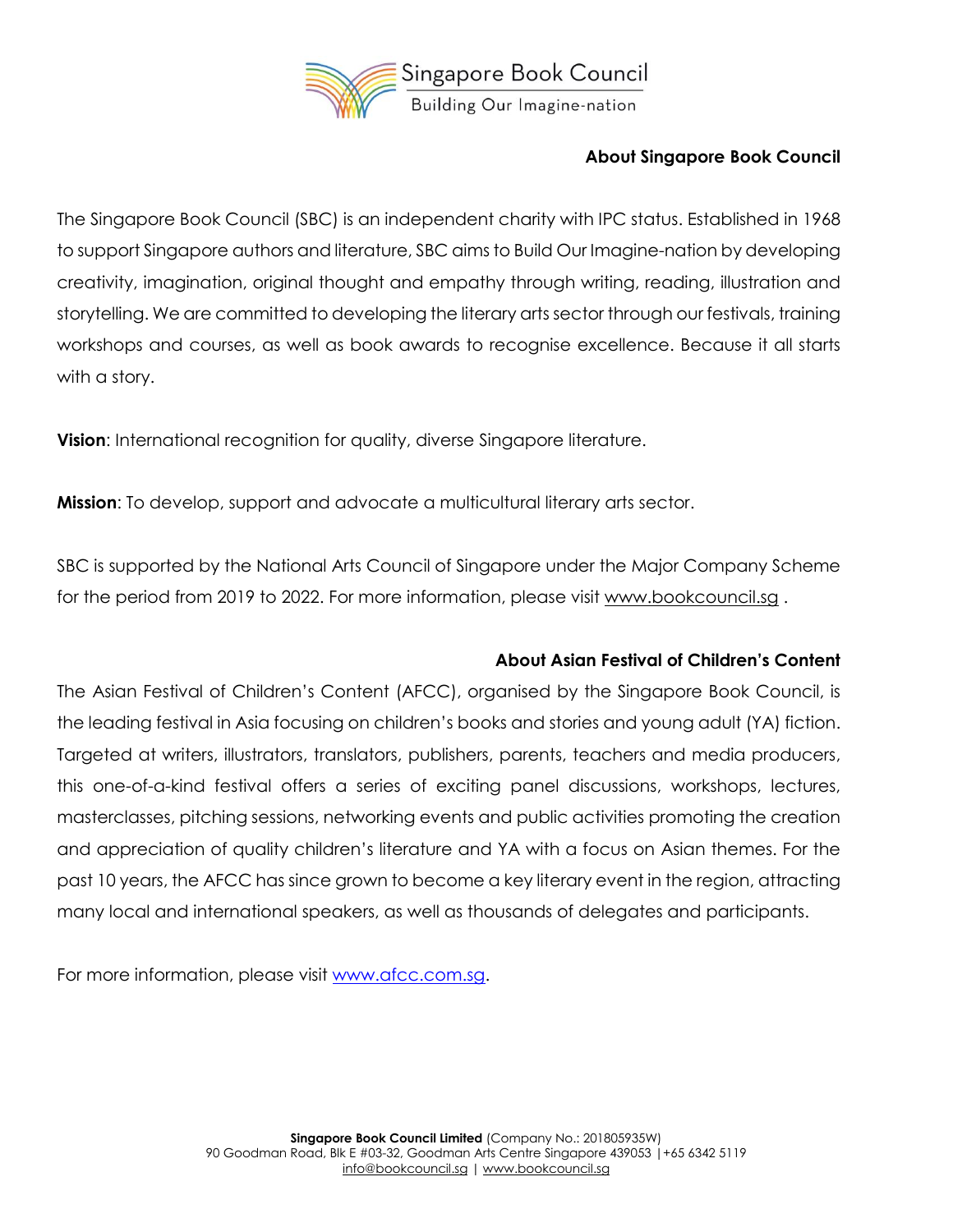

#### **About Singapore Book Council**

The Singapore Book Council (SBC) is an independent charity with IPC status. Established in 1968 to support Singapore authors and literature, SBC aims to Build Our Imagine-nation by developing creativity, imagination, original thought and empathy through writing, reading, illustration and storytelling. We are committed to developing the literary arts sector through our festivals, training workshops and courses, as well as book awards to recognise excellence. Because it all starts with a story.

**Vision**: International recognition for quality, diverse Singapore literature.

**Mission**: To develop, support and advocate a multicultural literary arts sector.

SBC is supported by the National Arts Council of Singapore under the Major Company Scheme for the period from 2019 to 2022. For more information, please visit [www.bookcouncil.sg](http://www.bookcouncil.sg/) .

#### **About Asian Festival of Children's Content**

The Asian Festival of Children's Content (AFCC), organised by the Singapore Book Council, is the leading festival in Asia focusing on children's books and stories and young adult (YA) fiction. Targeted at writers, illustrators, translators, publishers, parents, teachers and media producers, this one-of-a-kind festival offers a series of exciting panel discussions, workshops, lectures, masterclasses, pitching sessions, networking events and public activities promoting the creation and appreciation of quality children's literature and YA with a focus on Asian themes. For the past 10 years, the AFCC has since grown to become a key literary event in the region, attracting many local and international speakers, as well as thousands of delegates and participants.

For more information, please visit [www.afcc.com.sg.](http://www.afcc.com.sg/)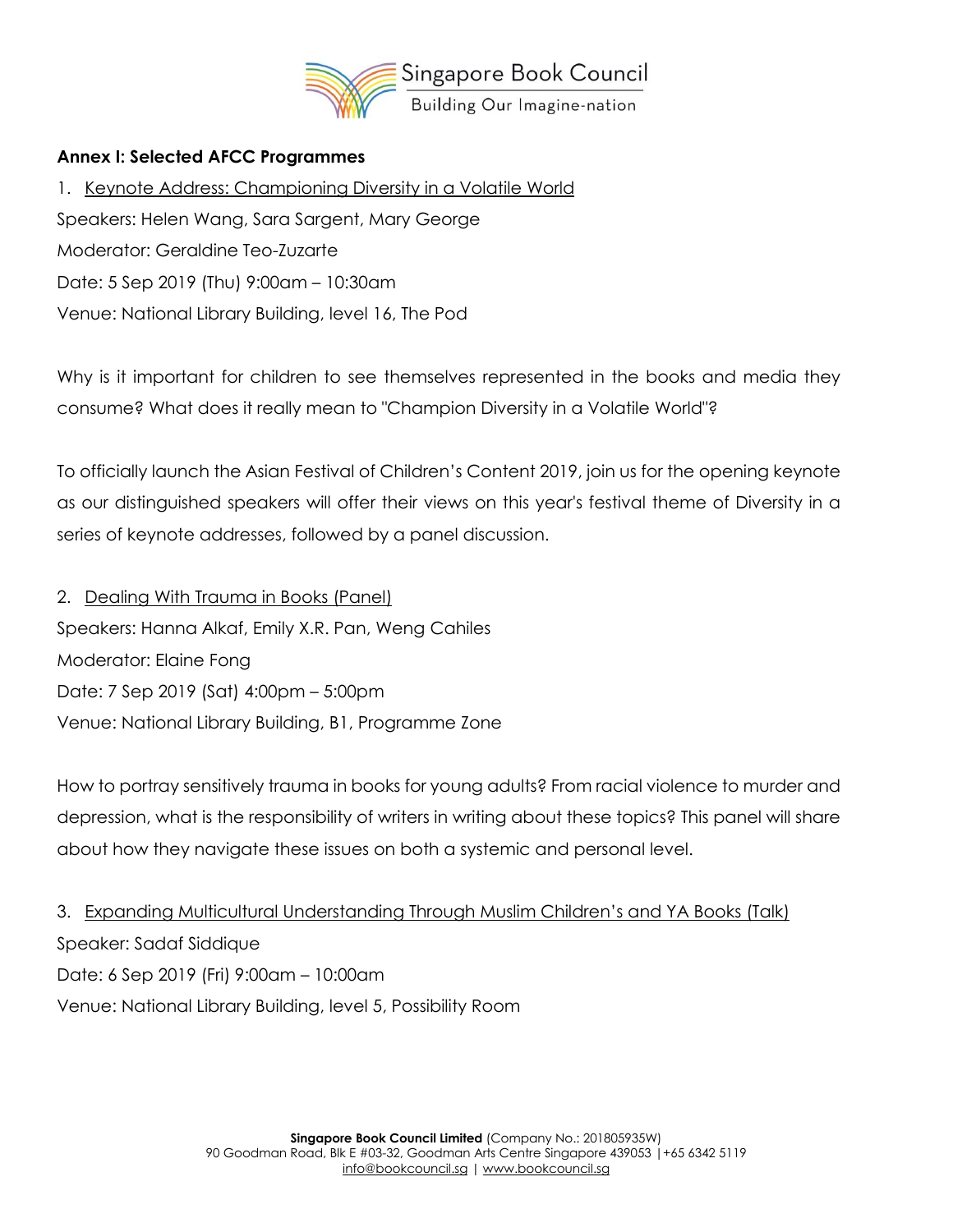

#### **Annex I: Selected AFCC Programmes**

1. Keynote Address: Championing Diversity in a Volatile World Speakers: Helen Wang, Sara Sargent, Mary George Moderator: Geraldine Teo-Zuzarte Date: 5 Sep 2019 (Thu) 9:00am – 10:30am Venue: National Library Building, level 16, The Pod

Why is it important for children to see themselves represented in the books and media they consume? What does it really mean to "Champion Diversity in a Volatile World"?

To officially launch the Asian Festival of Children's Content 2019, join us for the opening keynote as our distinguished speakers will offer their views on this year's festival theme of Diversity in a series of keynote addresses, followed by a panel discussion.

2. Dealing With Trauma in Books (Panel) Speakers: Hanna Alkaf, Emily X.R. Pan, Weng Cahiles Moderator: Elaine Fong Date: 7 Sep 2019 (Sat) 4:00pm – 5:00pm Venue: National Library Building, B1, Programme Zone

How to portray sensitively trauma in books for young adults? From racial violence to murder and depression, what is the responsibility of writers in writing about these topics? This panel will share about how they navigate these issues on both a systemic and personal level.

3. Expanding Multicultural Understanding Through Muslim Children's and YA Books (Talk) Speaker: Sadaf Siddique Date: 6 Sep 2019 (Fri) 9:00am – 10:00am Venue: National Library Building, level 5, Possibility Room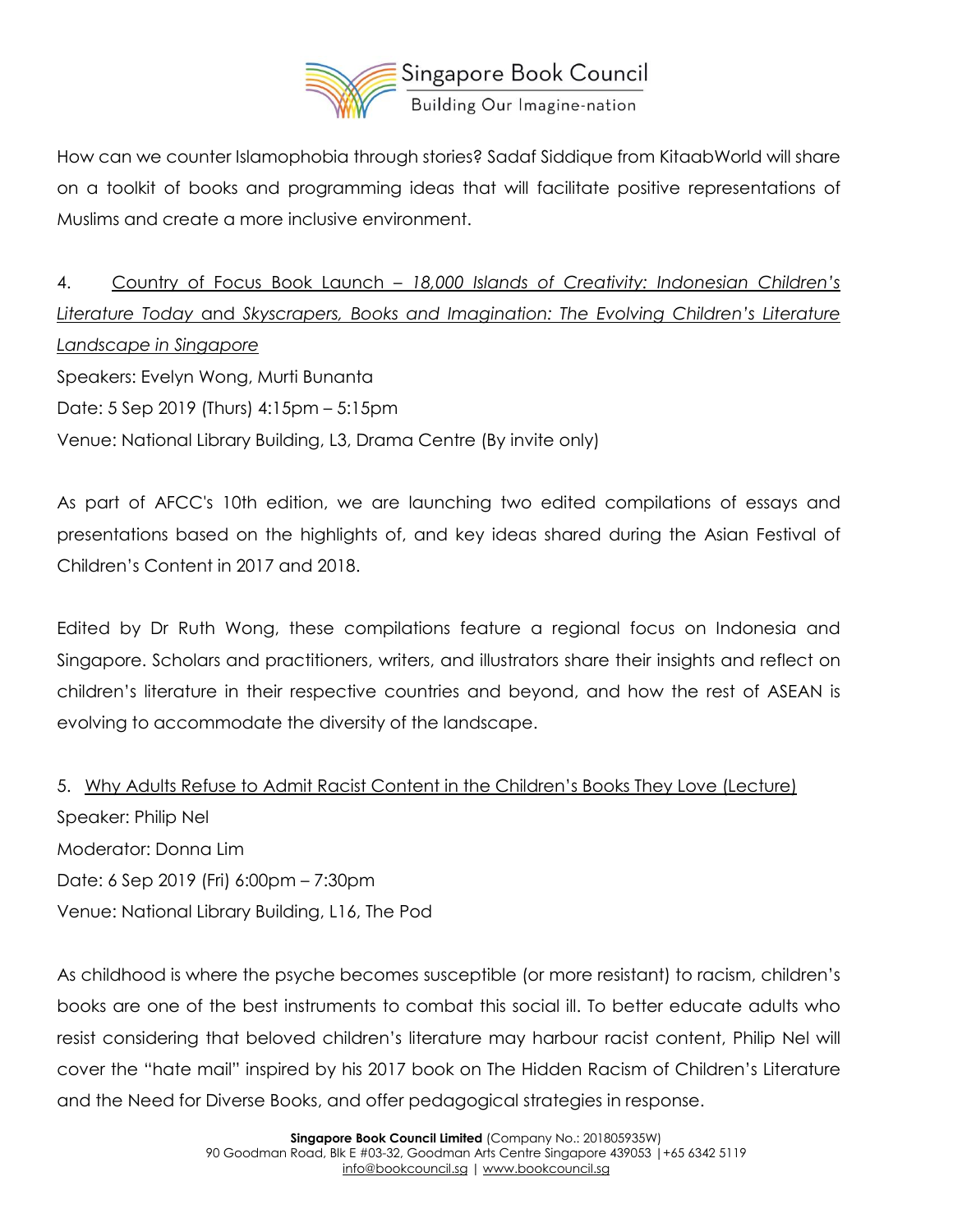

How can we counter Islamophobia through stories? Sadaf Siddique from KitaabWorld will share on a toolkit of books and programming ideas that will facilitate positive representations of Muslims and create a more inclusive environment.

4. Country of Focus Book Launch – *18,000 Islands of Creativity: Indonesian Children's Literature Today* and *Skyscrapers, Books and Imagination: The Evolving Children's Literature Landscape in Singapore* Speakers: Evelyn Wong, Murti Bunanta Date: 5 Sep 2019 (Thurs) 4:15pm – 5:15pm Venue: National Library Building, L3, Drama Centre (By invite only)

As part of AFCC's 10th edition, we are launching two edited compilations of essays and presentations based on the highlights of, and key ideas shared during the Asian Festival of Children's Content in 2017 and 2018.

Edited by Dr Ruth Wong, these compilations feature a regional focus on Indonesia and Singapore. Scholars and practitioners, writers, and illustrators share their insights and reflect on children's literature in their respective countries and beyond, and how the rest of ASEAN is evolving to accommodate the diversity of the landscape.

5. Why Adults Refuse to Admit Racist Content in the Children's Books They Love (Lecture) Speaker: Philip Nel Moderator: Donna Lim Date: 6 Sep 2019 (Fri) 6:00pm – 7:30pm Venue: National Library Building, L16, The Pod

As childhood is where the psyche becomes susceptible (or more resistant) to racism, children's books are one of the best instruments to combat this social ill. To better educate adults who resist considering that beloved children's literature may harbour racist content, Philip Nel will cover the "hate mail" inspired by his 2017 book on The Hidden Racism of Children's Literature and the Need for Diverse Books, and offer pedagogical strategies in response.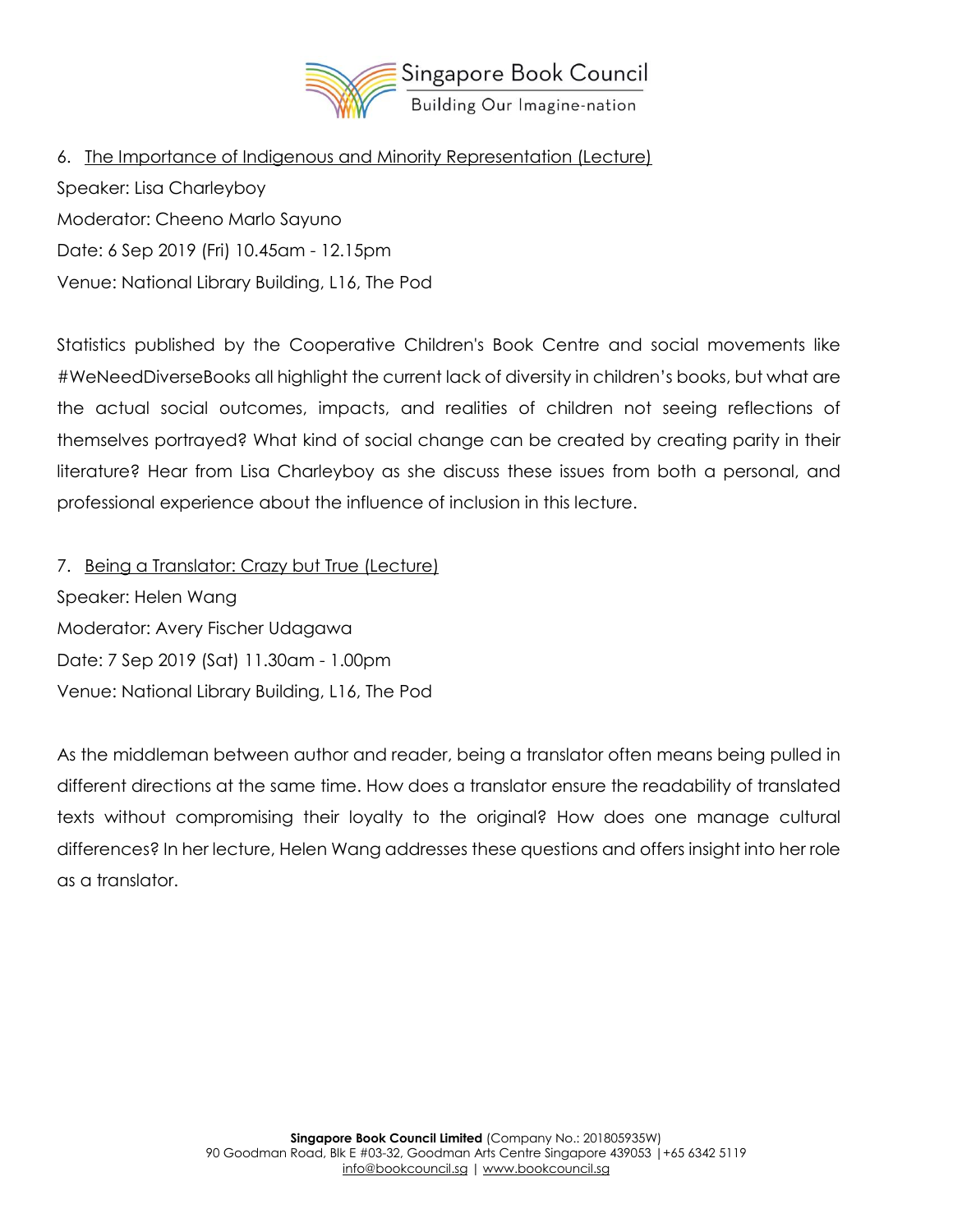

6. The Importance of Indigenous and Minority Representation (Lecture) Speaker: Lisa Charleyboy Moderator: Cheeno Marlo Sayuno Date: 6 Sep 2019 (Fri) 10.45am - 12.15pm Venue: National Library Building, L16, The Pod

Statistics published by the Cooperative Children's Book Centre and social movements like #WeNeedDiverseBooks all highlight the current lack of diversity in children's books, but what are the actual social outcomes, impacts, and realities of children not seeing reflections of themselves portrayed? What kind of social change can be created by creating parity in their literature? Hear from Lisa Charleyboy as she discuss these issues from both a personal, and professional experience about the influence of inclusion in this lecture.

7. Being a Translator: Crazy but True (Lecture) Speaker: Helen Wang Moderator: Avery Fischer Udagawa Date: 7 Sep 2019 (Sat) 11.30am - 1.00pm Venue: National Library Building, L16, The Pod

As the middleman between author and reader, being a translator often means being pulled in different directions at the same time. How does a translator ensure the readability of translated texts without compromising their loyalty to the original? How does one manage cultural differences? In her lecture, Helen Wang addresses these questions and offers insight into her role as a translator.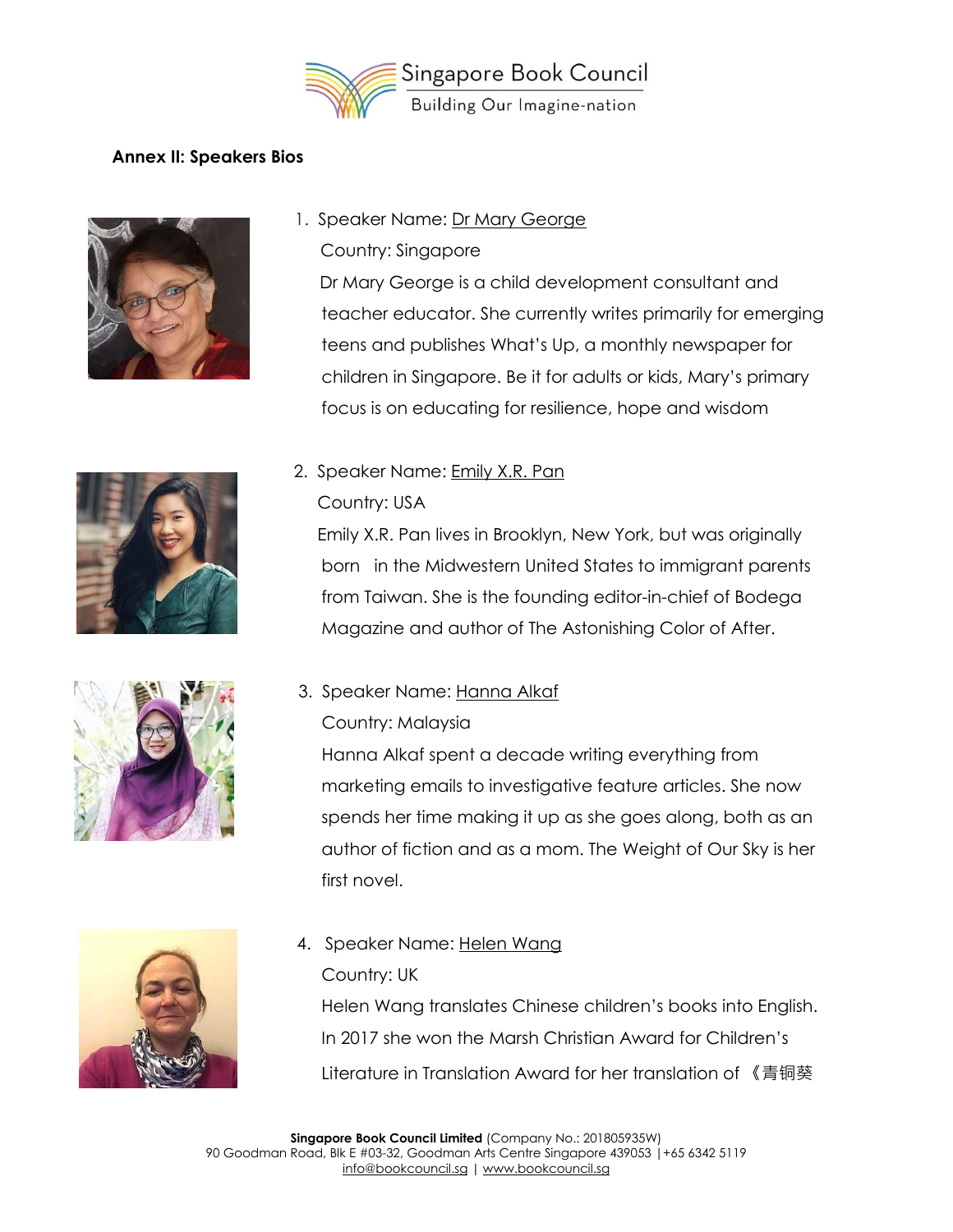

#### **Annex II: Speakers Bios**



- 1. Speaker Name: Dr Mary George
	- Country: Singapore

Dr Mary George is a child development consultant and teacher educator. She currently writes primarily for emerging teens and publishes What's Up, a monthly newspaper for children in Singapore. Be it for adults or kids, Mary's primary focus is on educating for resilience, hope and wisdom







2. Speaker Name: Emily X.R. Pan

#### Country: USA

 Emily X.R. Pan lives in Brooklyn, New York, but was originally born in the Midwestern United States to immigrant parents from Taiwan. She is the founding editor-in-chief of Bodega Magazine and author of The Astonishing Color of After.

- 3. Speaker Name: Hanna Alkaf
	- Country: Malaysia

 Hanna Alkaf spent a decade writing everything from marketing emails to investigative feature articles. She now spends her time making it up as she goes along, both as an author of fiction and as a mom. The Weight of Our Sky is her first novel.

4. Speaker Name: Helen Wang

Country: UK

Helen Wang translates Chinese children's books into English. In 2017 she won the Marsh Christian Award for Children's Literature in Translation Award for her translation of 《青铜葵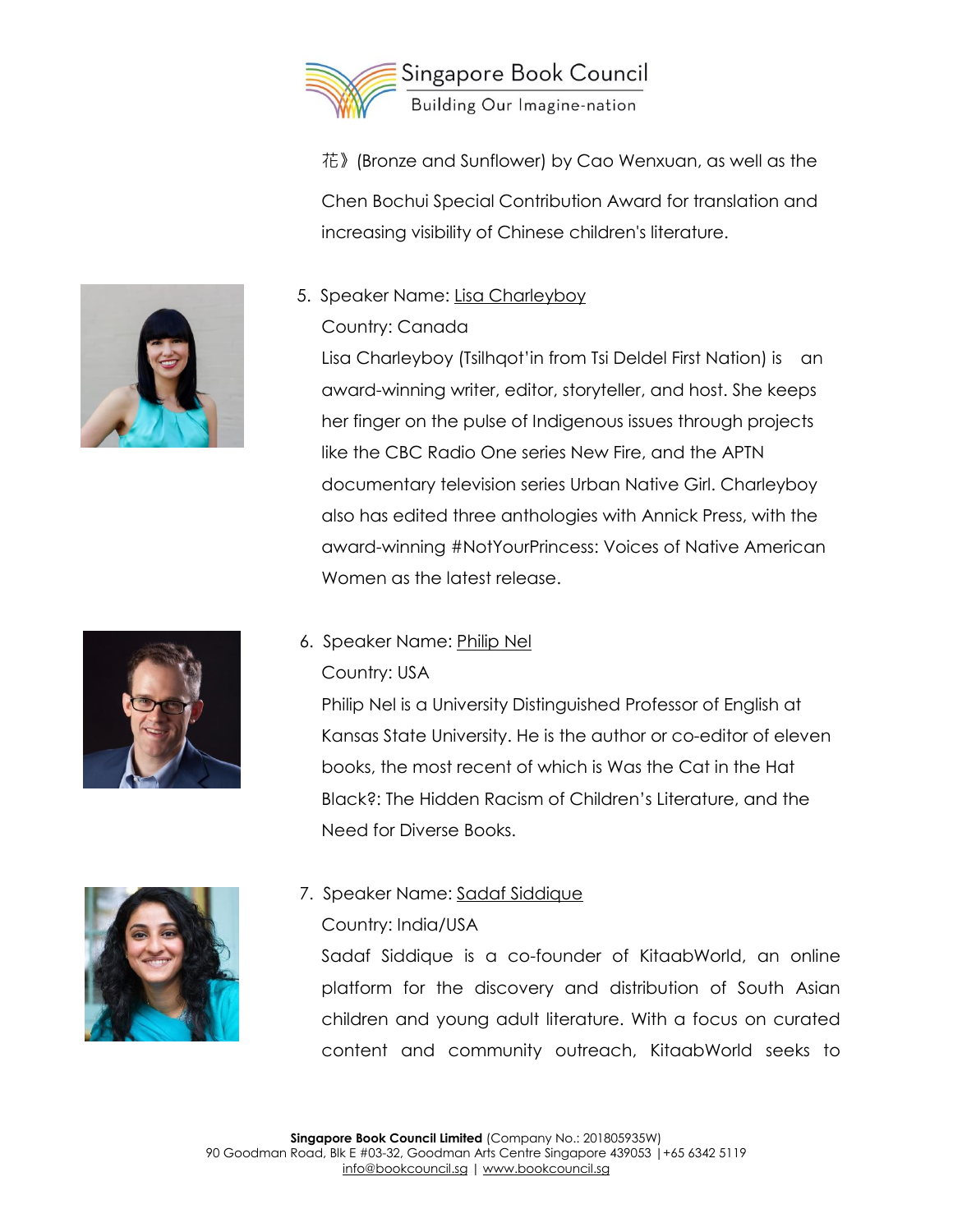

花》(Bronze and Sunflower) by Cao Wenxuan, as well as the Chen Bochui Special Contribution Award for translation and increasing visibility of Chinese children's literature.

### 5. Speaker Name: Lisa Charleyboy

### Country: Canada

Lisa Charleyboy (Tsilhqot'in from Tsi Deldel First Nation) is an award-winning writer, editor, storyteller, and host. She keeps her finger on the pulse of Indigenous issues through projects like the CBC Radio One series New Fire, and the APTN documentary television series Urban Native Girl. Charleyboy also has edited three anthologies with Annick Press, with the award-winning #NotYourPrincess: Voices of Native American Women as the latest release.

### 6. Speaker Name: Philip Nel Country: USA

Philip Nel is a University Distinguished Professor of English at Kansas State University. He is the author or co-editor of eleven books, the most recent of which is Was the Cat in the Hat Black?: The Hidden Racism of Children's Literature, and the Need for Diverse Books.

## 7. Speaker Name: Sadaf Siddique

### Country: India/USA

Sadaf Siddique is a co-founder of KitaabWorld, an online platform for the discovery and distribution of South Asian children and young adult literature. With a focus on curated content and community outreach, KitaabWorld seeks to





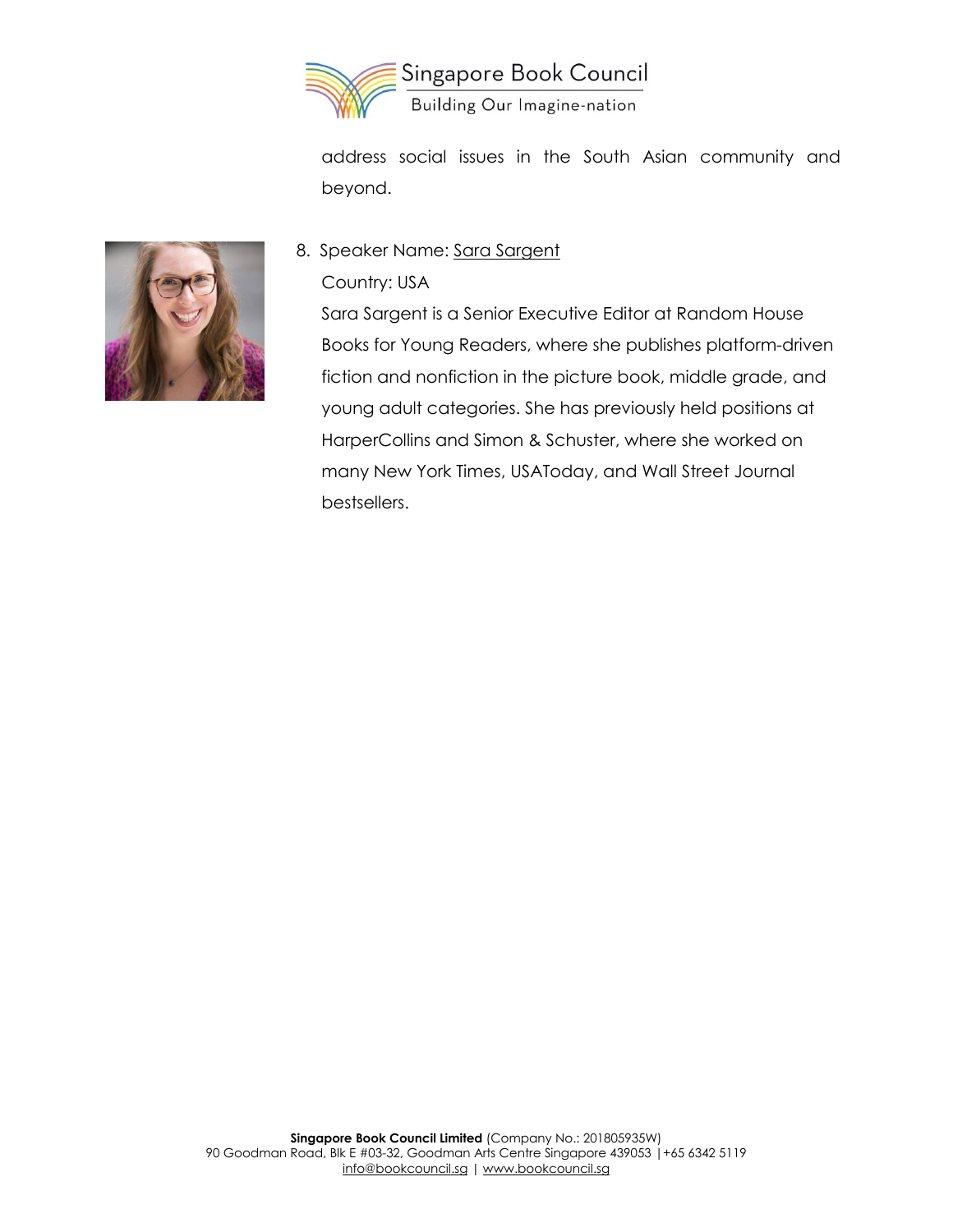

address social issues in the South Asian community and beyond.



### 8. Speaker Name: Sara Sargent

Country: USA

Sara Sargent is a Senior Executive Editor at Random House Books for Young Readers, where she publishes platform-driven fiction and nonfiction in the picture book, middle grade, and young adult categories. She has previously held positions at HarperCollins and Simon & Schuster, where she worked on many New York Times, USAToday, and Wall Street Journal bestsellers.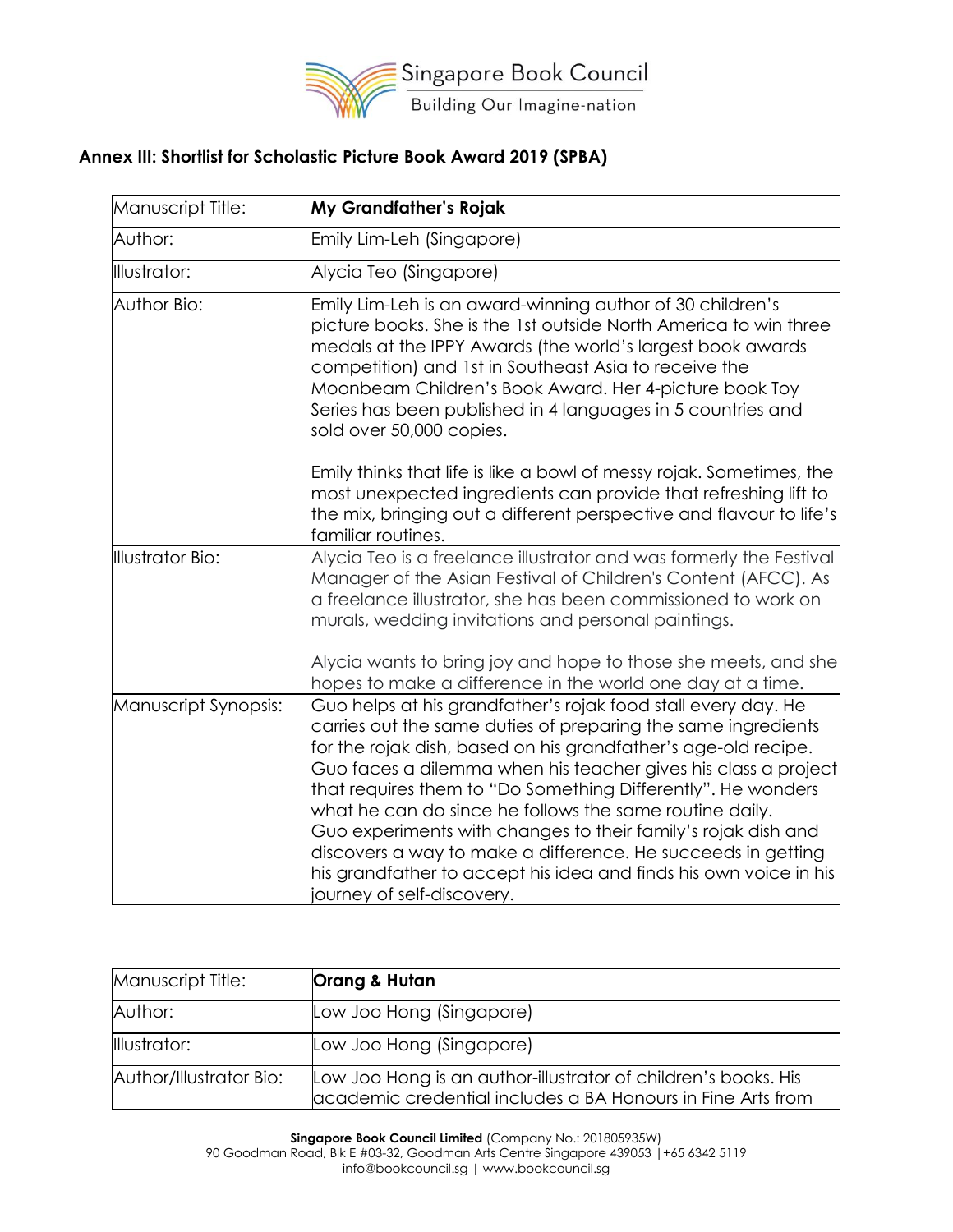

### **Annex III: Shortlist for Scholastic Picture Book Award 2019 (SPBA)**

| Manuscript Title:       | My Grandfather's Rojak                                                                                                                                                                                                                                                                                                                                                                                                                                                                                                                                                                                                            |
|-------------------------|-----------------------------------------------------------------------------------------------------------------------------------------------------------------------------------------------------------------------------------------------------------------------------------------------------------------------------------------------------------------------------------------------------------------------------------------------------------------------------------------------------------------------------------------------------------------------------------------------------------------------------------|
| Author:                 | Emily Lim-Leh (Singapore)                                                                                                                                                                                                                                                                                                                                                                                                                                                                                                                                                                                                         |
| Illustrator:            | Alycia Teo (Singapore)                                                                                                                                                                                                                                                                                                                                                                                                                                                                                                                                                                                                            |
| Author Bio:             | Emily Lim-Leh is an award-winning author of 30 children's<br>picture books. She is the 1st outside North America to win three<br>medals at the IPPY Awards (the world's largest book awards<br>competition) and 1st in Southeast Asia to receive the<br>Moonbeam Children's Book Award. Her 4-picture book Toy<br>Series has been published in 4 languages in 5 countries and<br>sold over 50,000 copies.                                                                                                                                                                                                                         |
|                         | Emily thinks that life is like a bowl of messy rojak. Sometimes, the<br>most unexpected ingredients can provide that refreshing lift to<br>the mix, bringing out a different perspective and flavour to life's<br>familiar routines.                                                                                                                                                                                                                                                                                                                                                                                              |
| <b>Illustrator Bio:</b> | Alycia Teo is a freelance illustrator and was formerly the Festival<br>Manager of the Asian Festival of Children's Content (AFCC). As<br>a freelance illustrator, she has been commissioned to work on<br>murals, wedding invitations and personal paintings.                                                                                                                                                                                                                                                                                                                                                                     |
|                         | Alycia wants to bring joy and hope to those she meets, and she<br>hopes to make a difference in the world one day at a time.                                                                                                                                                                                                                                                                                                                                                                                                                                                                                                      |
| Manuscript Synopsis:    | Guo helps at his grandfather's rojak food stall every day. He<br>carries out the same duties of preparing the same ingredients<br>for the rojak dish, based on his grandfather's age-old recipe.<br>Guo faces a dilemma when his teacher gives his class a project<br>that requires them to "Do Something Differently". He wonders<br>what he can do since he follows the same routine daily.<br>Guo experiments with changes to their family's rojak dish and<br>discovers a way to make a difference. He succeeds in getting<br>his grandfather to accept his idea and finds his own voice in his<br>journey of self-discovery. |

| Manuscript Title:       | Orang & Hutan                                                                                                                 |
|-------------------------|-------------------------------------------------------------------------------------------------------------------------------|
| Author:                 | Low Joo Hong (Singapore)                                                                                                      |
| Illustrator:            | Low Joo Hong (Singapore)                                                                                                      |
| Author/Illustrator Bio: | Low Joo Hong is an author-illustrator of children's books. His<br>academic credential includes a BA Honours in Fine Arts from |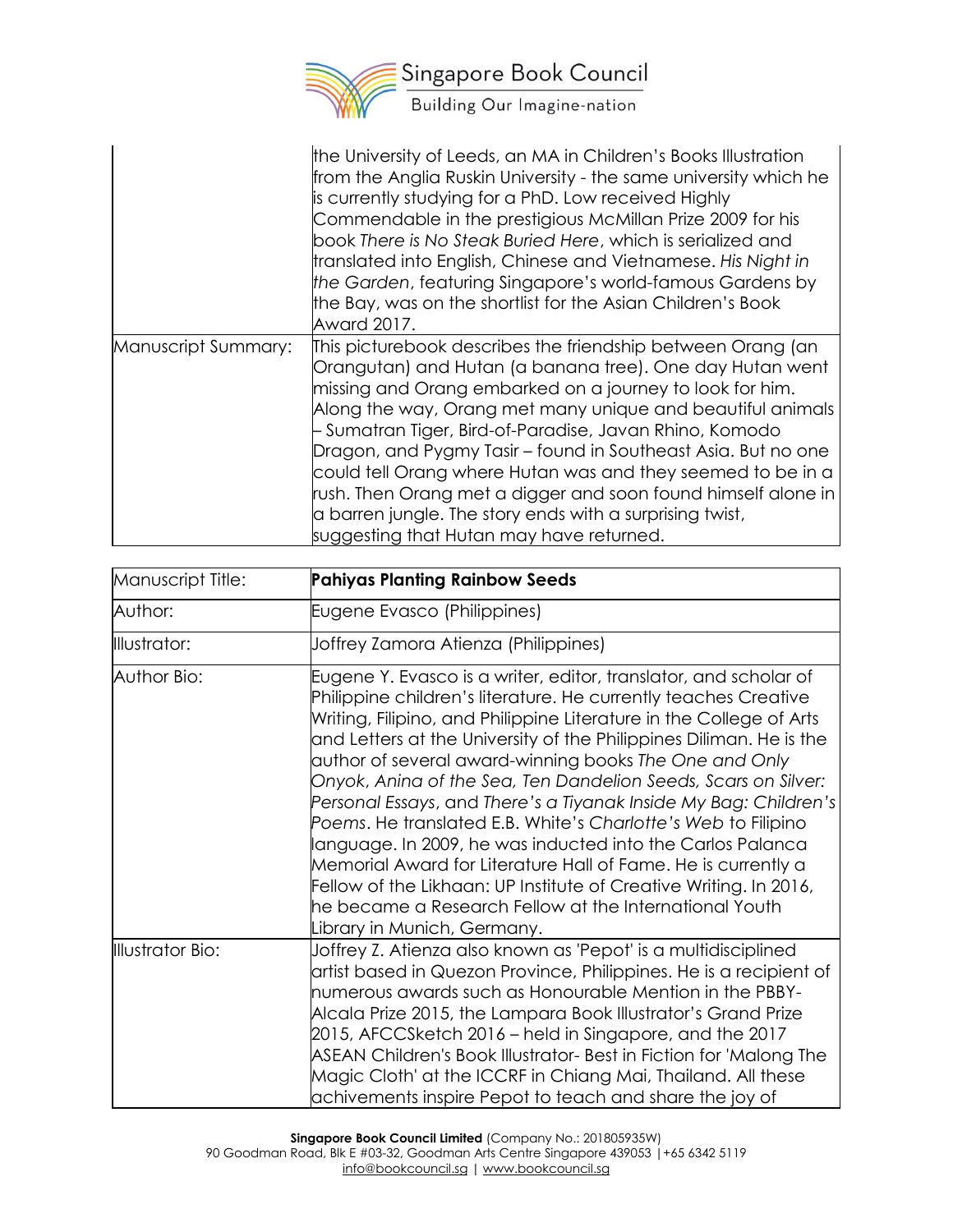

|                     | the University of Leeds, an MA in Children's Books Illustration<br>from the Anglia Ruskin University - the same university which he<br>is currently studying for a PhD. Low received Highly<br>Commendable in the prestigious McMillan Prize 2009 for his<br>book There is No Steak Buried Here, which is serialized and<br>translated into English, Chinese and Vietnamese. His Night in<br>the Garden, featuring Singapore's world-famous Gardens by<br>the Bay, was on the shortlist for the Asian Children's Book<br>Award 2017.                                                                                  |
|---------------------|-----------------------------------------------------------------------------------------------------------------------------------------------------------------------------------------------------------------------------------------------------------------------------------------------------------------------------------------------------------------------------------------------------------------------------------------------------------------------------------------------------------------------------------------------------------------------------------------------------------------------|
| Manuscript Summary: | This picturebook describes the friendship between Orang (an<br>Orangutan) and Hutan (a banana tree). One day Hutan went<br>missing and Orang embarked on a journey to look for him.<br>Along the way, Orang met many unique and beautiful animals<br>- Sumatran Tiger, Bird-of-Paradise, Javan Rhino, Komodo<br>Dragon, and Pygmy Tasir – found in Southeast Asia. But no one<br>could tell Orang where Hutan was and they seemed to be in a<br>rush. Then Orang met a digger and soon found himself alone in<br>a barren jungle. The story ends with a surprising twist,<br>suggesting that Hutan may have returned. |

| Manuscript Title: | <b>Pahiyas Planting Rainbow Seeds</b>                                                                                                                                                                                                                                                                                                                                                                                                                                                                                                                                                                                                                                                                                                                                                                                                           |
|-------------------|-------------------------------------------------------------------------------------------------------------------------------------------------------------------------------------------------------------------------------------------------------------------------------------------------------------------------------------------------------------------------------------------------------------------------------------------------------------------------------------------------------------------------------------------------------------------------------------------------------------------------------------------------------------------------------------------------------------------------------------------------------------------------------------------------------------------------------------------------|
| Author:           | Eugene Evasco (Philippines)                                                                                                                                                                                                                                                                                                                                                                                                                                                                                                                                                                                                                                                                                                                                                                                                                     |
| Illustrator:      | Joffrey Zamora Atienza (Philippines)                                                                                                                                                                                                                                                                                                                                                                                                                                                                                                                                                                                                                                                                                                                                                                                                            |
| Author Bio:       | Eugene Y. Evasco is a writer, editor, translator, and scholar of<br>Philippine children's literature. He currently teaches Creative<br>Writing, Filipino, and Philippine Literature in the College of Arts<br>and Letters at the University of the Philippines Diliman. He is the<br>author of several award-winning books The One and Only<br>Onyok, Anina of the Sea, Ten Dandelion Seeds, Scars on Silver:<br>Personal Essays, and There's a Tiyanak Inside My Bag: Children's<br>Poems. He translated E.B. White's Charlotte's Web to Filipino<br>language. In 2009, he was inducted into the Carlos Palanca<br>Memorial Award for Literature Hall of Fame. He is currently a<br>Fellow of the Likhaan: UP Institute of Creative Writing. In 2016,<br>he became a Research Fellow at the International Youth<br>Library in Munich, Germany. |
| Illustrator Bio:  | Joffrey Z. Atienza also known as 'Pepot' is a multidisciplined<br>artist based in Quezon Province, Philippines. He is a recipient of<br>numerous awards such as Honourable Mention in the PBBY-<br>Alcala Prize 2015, the Lampara Book Illustrator's Grand Prize<br>2015, AFCCSketch 2016 – held in Singapore, and the 2017<br>ASEAN Children's Book Illustrator- Best in Fiction for 'Malong The<br>Magic Cloth' at the ICCRF in Chiang Mai, Thailand. All these<br>achivements inspire Pepot to teach and share the joy of                                                                                                                                                                                                                                                                                                                    |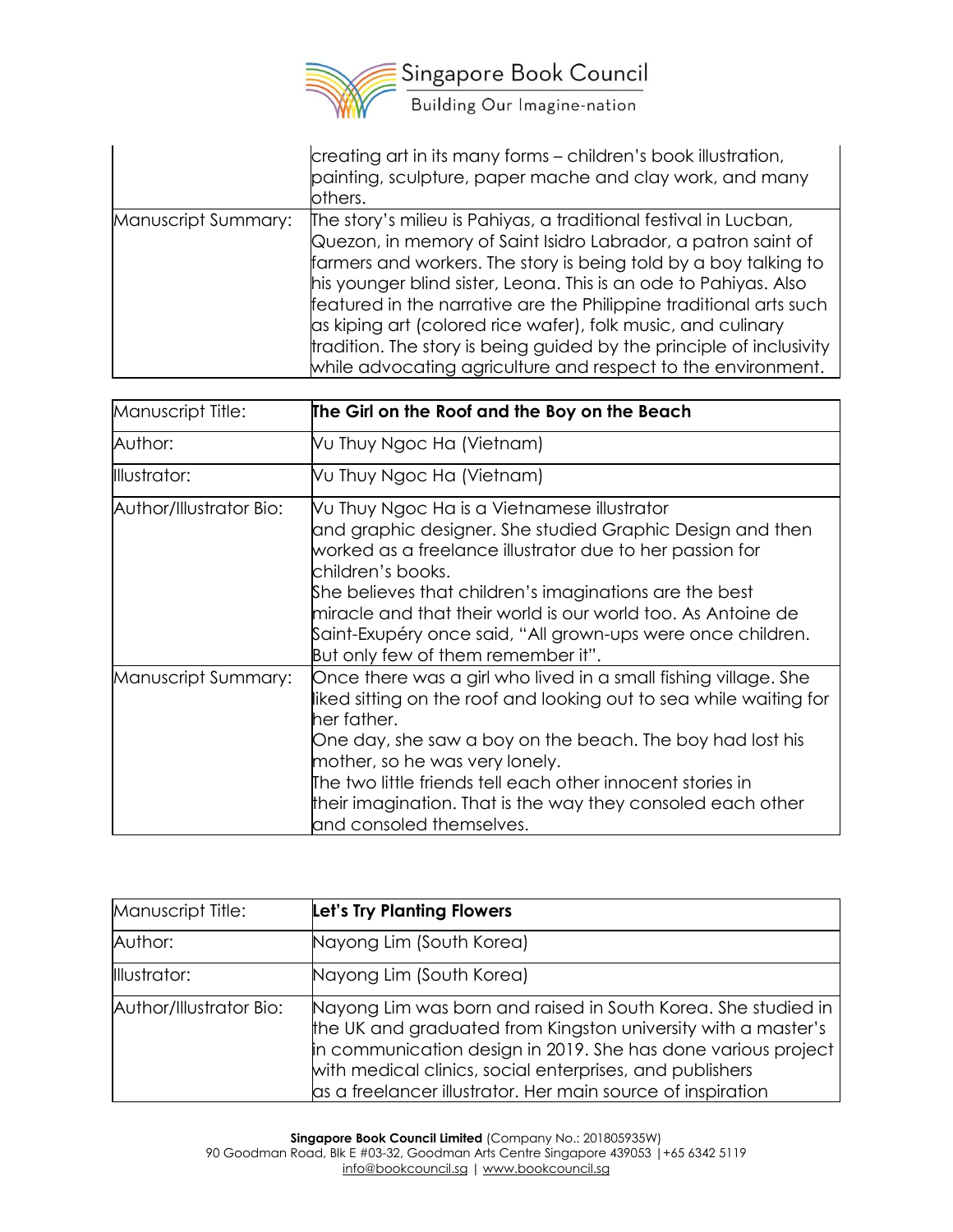

|                     | creating art in its many forms - children's book illustration,<br>painting, sculpture, paper mache and clay work, and many<br>others.                                                                                                                                                                                                                                                                                                                                                                                                                   |
|---------------------|---------------------------------------------------------------------------------------------------------------------------------------------------------------------------------------------------------------------------------------------------------------------------------------------------------------------------------------------------------------------------------------------------------------------------------------------------------------------------------------------------------------------------------------------------------|
| Manuscript Summary: | The story's milieu is Pahiyas, a traditional festival in Lucban,<br>Quezon, in memory of Saint Isidro Labrador, a patron saint of<br>farmers and workers. The story is being told by a boy talking to<br>his younger blind sister, Leona. This is an ode to Pahiyas. Also<br>featured in the narrative are the Philippine traditional arts such<br>as kiping art (colored rice wafer), folk music, and culinary<br>tradition. The story is being guided by the principle of inclusivity<br>while advocating agriculture and respect to the environment. |

| Manuscript Title:       | The Girl on the Roof and the Boy on the Beach                                                                                                                                                                                                                                                                                                                                                                            |
|-------------------------|--------------------------------------------------------------------------------------------------------------------------------------------------------------------------------------------------------------------------------------------------------------------------------------------------------------------------------------------------------------------------------------------------------------------------|
| Author:                 | Vu Thuy Ngoc Ha (Vietnam)                                                                                                                                                                                                                                                                                                                                                                                                |
| Illustrator:            | Vu Thuy Ngoc Ha (Vietnam)                                                                                                                                                                                                                                                                                                                                                                                                |
| Author/Illustrator Bio: | Vu Thuy Ngoc Ha is a Vietnamese illustrator<br>and graphic designer. She studied Graphic Design and then<br>worked as a freelance illustrator due to her passion for<br>children's books.<br>She believes that children's imaginations are the best<br>miracle and that their world is our world too. As Antoine de<br>Saint-Exupéry once said, "All grown-ups were once children.<br>But only few of them remember it". |
| Manuscript Summary:     | Once there was a girl who lived in a small fishing village. She<br>liked sitting on the roof and looking out to sea while waiting for<br>her father.<br>One day, she saw a boy on the beach. The boy had lost his<br>mother, so he was very lonely.<br>The two little friends tell each other innocent stories in<br>their imagination. That is the way they consoled each other<br>and consoled themselves.             |

| Manuscript Title:       | Let's Try Planting Flowers                                                                                                                                                                                                                                                                                                   |
|-------------------------|------------------------------------------------------------------------------------------------------------------------------------------------------------------------------------------------------------------------------------------------------------------------------------------------------------------------------|
| Author:                 | Nayong Lim (South Korea)                                                                                                                                                                                                                                                                                                     |
| Illustrator:            | Nayong Lim (South Korea)                                                                                                                                                                                                                                                                                                     |
| Author/Illustrator Bio: | Nayong Lim was born and raised in South Korea. She studied in  <br>the UK and graduated from Kingston university with a master's<br>in communication design in 2019. She has done various project<br>with medical clinics, social enterprises, and publishers<br>as a freelancer illustrator. Her main source of inspiration |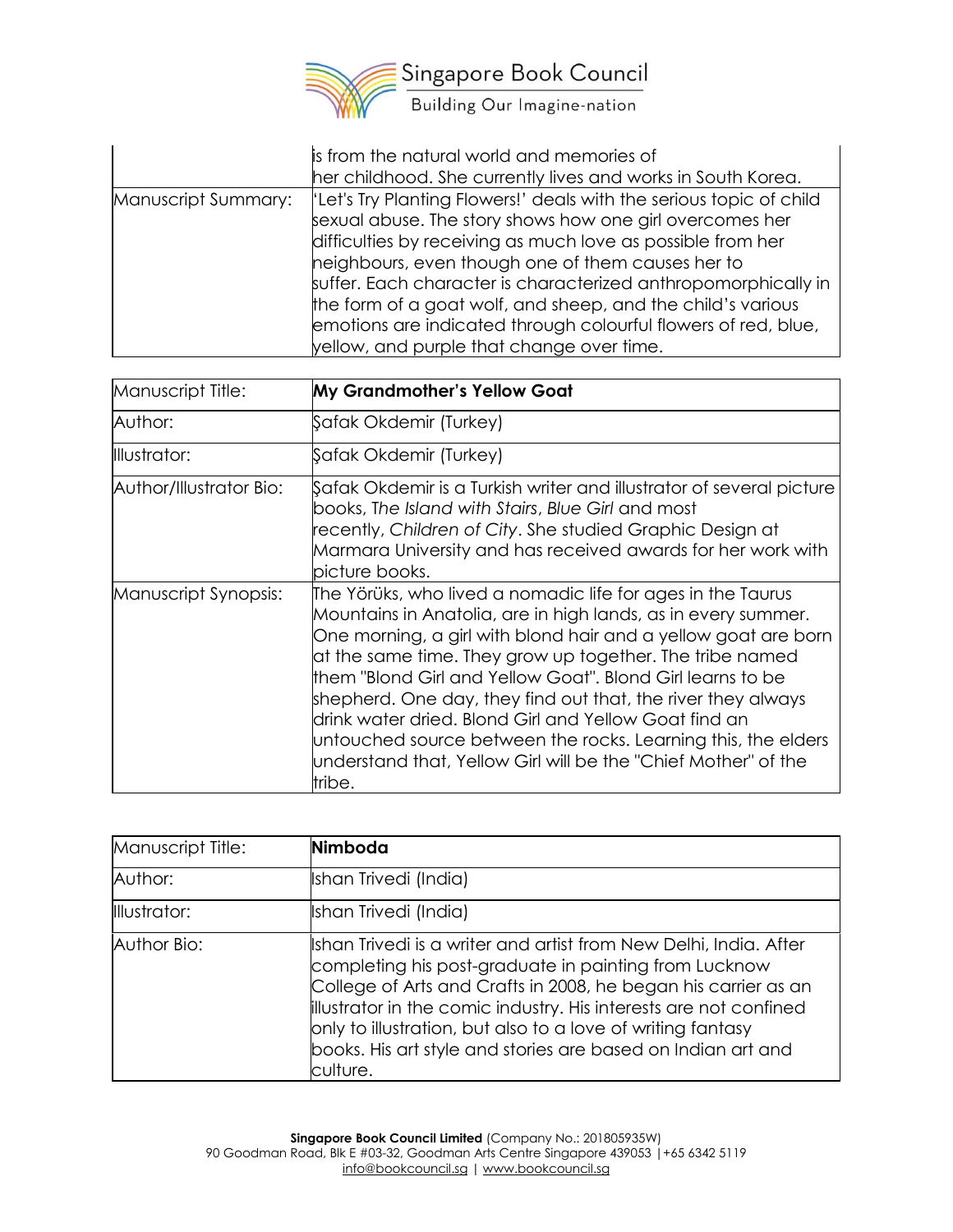

|                     | is from the natural world and memories of<br>her childhood. She currently lives and works in South Korea.                                                                                                                                                                                                                                                                                                                                                                                           |
|---------------------|-----------------------------------------------------------------------------------------------------------------------------------------------------------------------------------------------------------------------------------------------------------------------------------------------------------------------------------------------------------------------------------------------------------------------------------------------------------------------------------------------------|
| Manuscript Summary: | 'Let's Try Planting Flowers!' deals with the serious topic of child<br>sexual abuse. The story shows how one girl overcomes her<br>difficulties by receiving as much love as possible from her<br>heighbours, even though one of them causes her to<br>suffer. Each character is characterized anthropomorphically in<br>the form of a goat wolf, and sheep, and the child's various<br>emotions are indicated through colourful flowers of red, blue,<br>yellow, and purple that change over time. |

| Manuscript Title:       | My Grandmother's Yellow Goat                                                                                                                                                                                                                                                                                                                                                                                                                                                                                                                                                                   |
|-------------------------|------------------------------------------------------------------------------------------------------------------------------------------------------------------------------------------------------------------------------------------------------------------------------------------------------------------------------------------------------------------------------------------------------------------------------------------------------------------------------------------------------------------------------------------------------------------------------------------------|
| Author:                 | Şafak Okdemir (Turkey)                                                                                                                                                                                                                                                                                                                                                                                                                                                                                                                                                                         |
| Illustrator:            | Şafak Okdemir (Turkey)                                                                                                                                                                                                                                                                                                                                                                                                                                                                                                                                                                         |
| Author/Illustrator Bio: | Safak Okdemir is a Turkish writer and illustrator of several picture<br>books, The Island with Stairs, Blue Girl and most<br>recently, Children of City. She studied Graphic Design at<br>Marmara University and has received awards for her work with<br>picture books.                                                                                                                                                                                                                                                                                                                       |
| Manuscript Synopsis:    | The Yörüks, who lived a nomadic life for ages in the Taurus<br>Mountains in Anatolia, are in high lands, as in every summer.<br>One morning, a girl with blond hair and a yellow goat are born<br>at the same time. They grow up together. The tribe named<br>them "Blond Girl and Yellow Goat". Blond Girl learns to be<br>shepherd. One day, they find out that, the river they always<br>drink water dried. Blond Girl and Yellow Goat find an<br>untouched source between the rocks. Learning this, the elders<br>understand that, Yellow Girl will be the "Chief Mother" of the<br>tribe. |

| Manuscript Title: | Nimboda                                                                                                                                                                                                                                                                                                                                                                                                      |
|-------------------|--------------------------------------------------------------------------------------------------------------------------------------------------------------------------------------------------------------------------------------------------------------------------------------------------------------------------------------------------------------------------------------------------------------|
| Author:           | Ishan Trivedi (India)                                                                                                                                                                                                                                                                                                                                                                                        |
| Illustrator:      | Ishan Trivedi (India)                                                                                                                                                                                                                                                                                                                                                                                        |
| Author Bio:       | Ishan Trivedi is a writer and artist from New Delhi, India. After<br>completing his post-graduate in painting from Lucknow<br>College of Arts and Crafts in 2008, he began his carrier as an<br>illustrator in the comic industry. His interests are not confined<br>only to illustration, but also to a love of writing fantasy<br>books. His art style and stories are based on Indian art and<br>culture. |